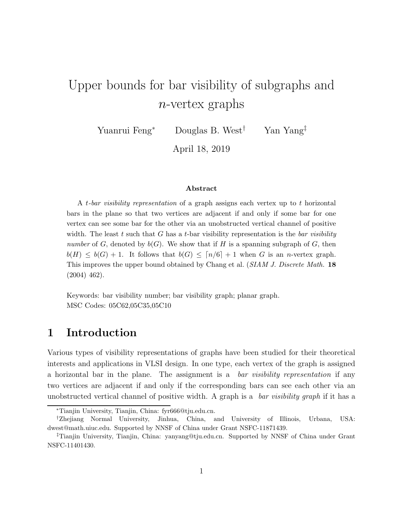# Upper bounds for bar visibility of subgraphs and n-vertex graphs

Yuanrui Feng<sup>∗</sup> Douglas B. West† Yan Yang‡

April 18, 2019

#### Abstract

A t-bar visibility representation of a graph assigns each vertex up to t horizontal bars in the plane so that two vertices are adjacent if and only if some bar for one vertex can see some bar for the other via an unobstructed vertical channel of positive width. The least t such that G has a t-bar visibility representation is the bar visibility number of G, denoted by  $b(G)$ . We show that if H is a spanning subgraph of G, then  $b(H) \leq b(G) + 1$ . It follows that  $b(G) \leq [n/6] + 1$  when G is an n-vertex graph. This improves the upper bound obtained by Chang et al. (SIAM J. Discrete Math. 18) (2004) 462).

Keywords: bar visibility number; bar visibility graph; planar graph. MSC Codes: 05C62,05C35,05C10

### 1 Introduction

Various types of visibility representations of graphs have been studied for their theoretical interests and applications in VLSI design. In one type, each vertex of the graph is assigned a horizontal bar in the plane. The assignment is a *bar visibility representation* if any two vertices are adjacent if and only if the corresponding bars can see each other via an unobstructed vertical channel of positive width. A graph is a *bar visibility graph* if it has a

<sup>∗</sup>Tianjin University, Tianjin, China: fyr666@tju.edu.cn.

<sup>†</sup>Zhejiang Normal University, Jinhua, China, and University of Illinois, Urbana, USA: dwest@math.uiuc.edu. Supported by NNSF of China under Grant NSFC-11871439.

<sup>‡</sup>Tianjin University, Tianjin, China: yanyang@tju.edu.cn. Supported by NNSF of China under Grant NSFC-11401430.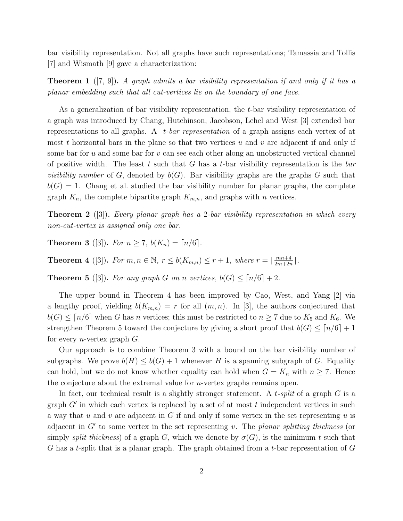bar visibility representation. Not all graphs have such representations; Tamassia and Tollis [7] and Wismath [9] gave a characterization:

**Theorem 1** ([7, 9]). A graph admits a bar visibility representation if and only if it has a planar embedding such that all cut-vertices lie on the boundary of one face.

As a generalization of bar visibility representation, the t-bar visibility representation of a graph was introduced by Chang, Hutchinson, Jacobson, Lehel and West [3] extended bar representations to all graphs. A  $t$ -bar representation of a graph assigns each vertex of at most t horizontal bars in the plane so that two vertices u and v are adjacent if and only if some bar for  $u$  and some bar for  $v$  can see each other along an unobstructed vertical channel of positive width. The least t such that G has a t-bar visibility representation is the bar *visibility number* of G, denoted by  $b(G)$ . Bar visibility graphs are the graphs G such that  $b(G) = 1$ . Chang et al. studied the bar visibility number for planar graphs, the complete graph  $K_n$ , the complete bipartite graph  $K_{m,n}$ , and graphs with n vertices.

**Theorem 2** ([3]). Every planar graph has a 2-bar visibility representation in which every non-cut-vertex is assigned only one bar.

**Theorem 3** ([3]). For  $n > 7$ ,  $b(K_n) = \lfloor n/6 \rfloor$ .

**Theorem 4** ([3]). For  $m, n \in \mathbb{N}$ ,  $r \leq b(K_{m,n}) \leq r+1$ , where  $r = \lceil \frac{mn+4}{2m+2r} \rceil$  $\frac{mn+4}{2m+2n}$ .

**Theorem 5** ([3]). For any graph G on n vertices,  $b(G) \leq \lceil n/6 \rceil + 2$ .

The upper bound in Theorem 4 has been improved by Cao, West, and Yang [2] via a lengthy proof, yielding  $b(K_{m,n}) = r$  for all  $(m, n)$ . In [3], the authors conjectured that  $b(G) \leq [n/6]$  when G has n vertices; this must be restricted to  $n \geq 7$  due to  $K_5$  and  $K_6$ . We strengthen Theorem 5 toward the conjecture by giving a short proof that  $b(G) \leq \lceil n/6 \rceil + 1$ for every *n*-vertex graph  $G$ .

Our approach is to combine Theorem 3 with a bound on the bar visibility number of subgraphs. We prove  $b(H) \leq b(G) + 1$  whenever H is a spanning subgraph of G. Equality can hold, but we do not know whether equality can hold when  $G = K_n$  with  $n \geq 7$ . Hence the conjecture about the extremal value for  $n$ -vertex graphs remains open.

In fact, our technical result is a slightly stronger statement. A  $t$ -split of a graph G is a graph  $G'$  in which each vertex is replaced by a set of at most  $t$  independent vertices in such a way that  $u$  and  $v$  are adjacent in  $G$  if and only if some vertex in the set representing  $u$  is adjacent in  $G'$  to some vertex in the set representing v. The planar splitting thickness (or simply *split thickness*) of a graph G, which we denote by  $\sigma(G)$ , is the minimum t such that G has a t-split that is a planar graph. The graph obtained from a t-bar representation of  $G$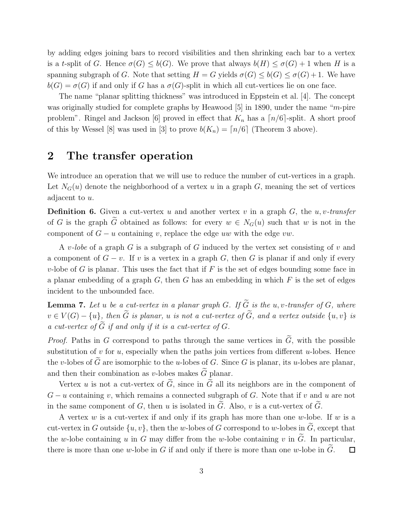by adding edges joining bars to record visibilities and then shrinking each bar to a vertex is a t-split of G. Hence  $\sigma(G) \leq b(G)$ . We prove that always  $b(H) \leq \sigma(G) + 1$  when H is a spanning subgraph of G. Note that setting  $H = G$  yields  $\sigma(G) \leq b(G) \leq \sigma(G) + 1$ . We have  $b(G) = \sigma(G)$  if and only if G has a  $\sigma(G)$ -split in which all cut-vertices lie on one face.

The name "planar splitting thickness" was introduced in Eppstein et al. [4]. The concept was originally studied for complete graphs by Heawood [5] in 1890, under the name "m-pire problem". Ringel and Jackson [6] proved in effect that  $K_n$  has a  $\lceil n/6 \rceil$ -split. A short proof of this by Wessel [8] was used in [3] to prove  $b(K_n) = \lceil n/6 \rceil$  (Theorem 3 above).

#### 2 The transfer operation

We introduce an operation that we will use to reduce the number of cut-vertices in a graph. Let  $N_G(u)$  denote the neighborhood of a vertex u in a graph G, meaning the set of vertices adjacent to u.

**Definition 6.** Given a cut-vertex u and another vertex v in a graph  $G$ , the u, v-transfer of G is the graph  $\tilde{G}$  obtained as follows: for every  $w \in N_G(u)$  such that w is not in the component of  $G - u$  containing v, replace the edge uw with the edge vw.

A v-lobe of a graph G is a subgraph of G induced by the vertex set consisting of v and a component of  $G - v$ . If v is a vertex in a graph G, then G is planar if and only if every v-lobe of G is planar. This uses the fact that if  $F$  is the set of edges bounding some face in a planar embedding of a graph  $G$ , then  $G$  has an embedding in which  $F$  is the set of edges incident to the unbounded face.

**Lemma 7.** Let u be a cut-vertex in a planar graph G. If  $\widetilde{G}$  is the u, v-transfer of G, where  $v \in V(G) - \{u\}$ , then  $\widetilde{G}$  is planar, u is not a cut-vertex of  $\widetilde{G}$ , and a vertex outside  $\{u, v\}$  is a cut-vertex of  $\widetilde{G}$  if and only if it is a cut-vertex of  $G$ .

*Proof.* Paths in G correspond to paths through the same vertices in  $\tilde{G}$ , with the possible substitution of v for u, especially when the paths join vertices from different u-lobes. Hence the v-lobes of  $\widetilde{G}$  are isomorphic to the u-lobes of G. Since G is planar, its u-lobes are planar, and then their combination as v-lobes makes  $\tilde{G}$  planar.

Vertex u is not a cut-vertex of  $\tilde{G}$ , since in  $\tilde{G}$  all its neighbors are in the component of  $G - u$  containing v, which remains a connected subgraph of G. Note that if v and u are not in the same component of G, then u is isolated in  $\tilde{G}$ . Also, v is a cut-vertex of  $\tilde{G}$ .

A vertex  $w$  is a cut-vertex if and only if its graph has more than one  $w$ -lobe. If  $w$  is a cut-vertex in G outside  $\{u, v\}$ , then the w-lobes of G correspond to w-lobes in  $\widetilde{G}$ , except that the w-lobe containing u in G may differ from the w-lobe containing v in  $\tilde{G}$ . In particular, there is more than one w-lobe in  $G$  if and only if there is more than one w-lobe in  $G$ .  $\Box$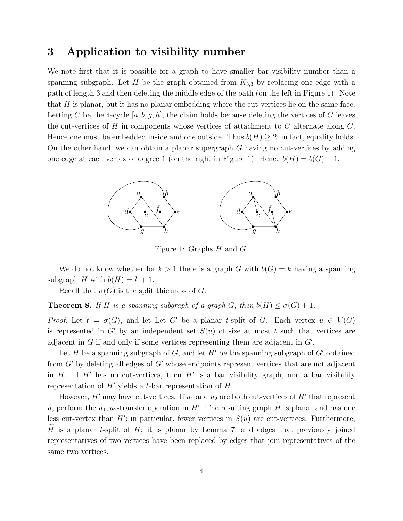### 3 Application to visibility number

We note first that it is possible for a graph to have smaller bar visibility number than a spanning subgraph. Let H be the graph obtained from  $K_{3,3}$  by replacing one edge with a path of length 3 and then deleting the middle edge of the path (on the left in Figure 1). Note that  $H$  is planar, but it has no planar embedding where the cut-vertices lie on the same face. Letting C be the 4-cycle  $[a, b, g, h]$ , the claim holds because deleting the vertices of C leaves the cut-vertices of H in components whose vertices of attachment to C alternate along  $C$ . Hence one must be embedded inside and one outside. Thus  $b(H) \geq 2$ ; in fact, equality holds. On the other hand, we can obtain a planar supergraph G having no cut-vertices by adding one edge at each vertex of degree 1 (on the right in Figure 1). Hence  $b(H) = b(G) + 1$ .



Figure 1: Graphs H and G.

We do not know whether for  $k > 1$  there is a graph G with  $b(G) = k$  having a spanning subgraph H with  $b(H) = k + 1$ .

Recall that  $\sigma(G)$  is the split thickness of G.

**Theorem 8.** If H is a spanning subgraph of a graph G, then  $b(H) \leq \sigma(G) + 1$ .

*Proof.* Let  $t = \sigma(G)$ , and let Let G' be a planar t-split of G. Each vertex  $u \in V(G)$ is represented in G' by an independent set  $S(u)$  of size at most t such that vertices are adjacent in  $G$  if and only if some vertices representing them are adjacent in  $G'$ .

Let H be a spanning subgraph of G, and let  $H'$  be the spanning subgraph of  $G'$  obtained from  $G'$  by deleting all edges of  $G'$  whose endpoints represent vertices that are not adjacent in  $H$ . If  $H'$  has no cut-vertices, then  $H'$  is a bar visibility graph, and a bar visibility representation of  $H'$  yields a t-bar representation of  $H$ .

However,  $H'$  may have cut-vertices. If  $u_1$  and  $u_2$  are both cut-vertices of  $H'$  that represent u, perform the  $u_1, u_2$ -transfer operation in H'. The resulting graph  $\widetilde{H}$  is planar and has one less cut-vertex than  $H'$ ; in particular, fewer vertices in  $S(u)$  are cut-vertices. Furthermore, H is a planar t-split of  $H$ ; it is planar by Lemma 7, and edges that previously joined representatives of two vertices have been replaced by edges that join representatives of the same two vertices.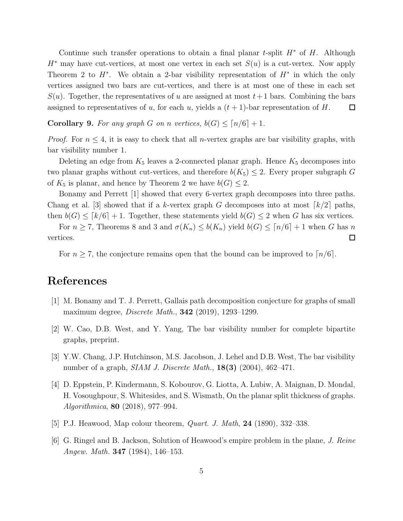Continue such transfer operations to obtain a final planar t-split  $H^*$  of  $H$ . Although  $H^*$  may have cut-vertices, at most one vertex in each set  $S(u)$  is a cut-vertex. Now apply Theorem 2 to  $H^*$ . We obtain a 2-bar visibility representation of  $H^*$  in which the only vertices assigned two bars are cut-vertices, and there is at most one of these in each set  $S(u)$ . Together, the representatives of u are assigned at most  $t+1$  bars. Combining the bars assigned to representatives of u, for each u, yields a  $(t + 1)$ -bar representation of H.  $\Box$ 

**Corollary 9.** For any graph G on n vertices,  $b(G) \leq \lceil n/6 \rceil + 1$ .

*Proof.* For  $n \leq 4$ , it is easy to check that all *n*-vertex graphs are bar visibility graphs, with bar visibility number 1.

Deleting an edge from  $K_5$  leaves a 2-connected planar graph. Hence  $K_5$  decomposes into two planar graphs without cut-vertices, and therefore  $b(K_5) \leq 2$ . Every proper subgraph G of  $K_5$  is planar, and hence by Theorem 2 we have  $b(G) \leq 2$ .

Bonamy and Perrett [1] showed that every 6-vertex graph decomposes into three paths. Chang et al. [3] showed that if a k-vertex graph G decomposes into at most  $\lfloor k/2 \rfloor$  paths, then  $b(G) \leq [k/6] + 1$ . Together, these statements yield  $b(G) \leq 2$  when G has six vertices.

For  $n \geq 7$ , Theorems 8 and 3 and  $\sigma(K_n) \leq b(K_n)$  yield  $b(G) \leq \lceil n/6 \rceil + 1$  when G has n vertices.  $\Box$ 

For  $n \geq 7$ , the conjecture remains open that the bound can be improved to  $\lceil n/6 \rceil$ .

## References

- [1] M. Bonamy and T. J. Perrett, Gallais path decomposition conjecture for graphs of small maximum degree, Discrete Math., 342 (2019), 1293–1299.
- [2] W. Cao, D.B. West, and Y. Yang, The bar visibility number for complete bipartite graphs, preprint.
- [3] Y.W. Chang, J.P. Hutchinson, M.S. Jacobson, J. Lehel and D.B. West, The bar visibility number of a graph,  $SIAM J. Discrete Math., 18(3) (2004), 462-471.$
- [4] D. Eppstein, P. Kindermann, S. Kobourov, G. Liotta, A. Lubiw, A. Maignan, D. Mondal, H. Vosoughpour, S. Whitesides, and S. Wismath, On the planar split thickness of graphs. Algorithmica, 80 (2018), 977–994.
- [5] P.J. Heawood, Map colour theorem, *Quart. J. Math*, **24** (1890), 332–338.
- [6] G. Ringel and B. Jackson, Solution of Heawood's empire problem in the plane, J. Reine Angew. Math. 347 (1984), 146–153.